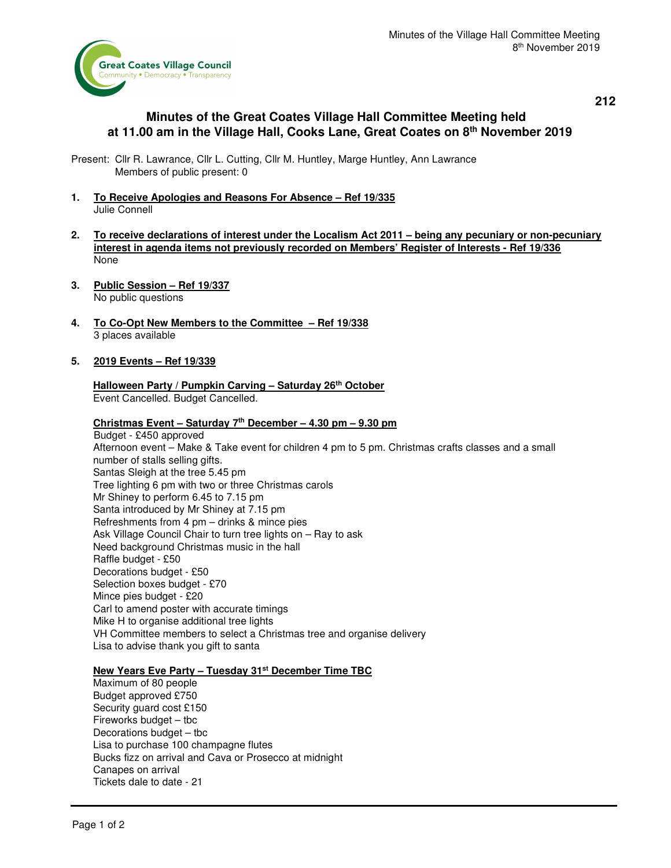

**212** 

# **Minutes of the Great Coates Village Hall Committee Meeting held at 11.00 am in the Village Hall, Cooks Lane, Great Coates on 8th November 2019**

Present: Cllr R. Lawrance, Cllr L. Cutting, Cllr M. Huntley, Marge Huntley, Ann Lawrance Members of public present: 0

- **1. To Receive Apologies and Reasons For Absence Ref 19/335**  Julie Connell
- **2. To receive declarations of interest under the Localism Act 2011 being any pecuniary or non-pecuniary interest in agenda items not previously recorded on Members' Register of Interests - Ref 19/336**  None
- **3. Public Session Ref 19/337**  No public questions
- **4. To Co-Opt New Members to the Committee Ref 19/338**  3 places available

## **5. 2019 Events – Ref 19/339**

### **Halloween Party / Pumpkin Carving – Saturday 26th October**  Event Cancelled. Budget Cancelled.

#### **Christmas Event – Saturday 7th December – 4.30 pm – 9.30 pm**

 Budget - £450 approved Afternoon event – Make & Take event for children 4 pm to 5 pm. Christmas crafts classes and a small number of stalls selling gifts. Santas Sleigh at the tree 5.45 pm Tree lighting 6 pm with two or three Christmas carols Mr Shiney to perform 6.45 to 7.15 pm Santa introduced by Mr Shiney at 7.15 pm Refreshments from 4 pm – drinks & mince pies Ask Village Council Chair to turn tree lights on – Ray to ask Need background Christmas music in the hall Raffle budget - £50 Decorations budget - £50 Selection boxes budget - £70 Mince pies budget - £20 Carl to amend poster with accurate timings Mike H to organise additional tree lights VH Committee members to select a Christmas tree and organise delivery Lisa to advise thank you gift to santa

#### **New Years Eve Party – Tuesday 31st December Time TBC**

 Maximum of 80 people Budget approved £750 Security guard cost £150 Fireworks budget – tbc Decorations budget – tbc Lisa to purchase 100 champagne flutes Bucks fizz on arrival and Cava or Prosecco at midnight Canapes on arrival Tickets dale to date - 21